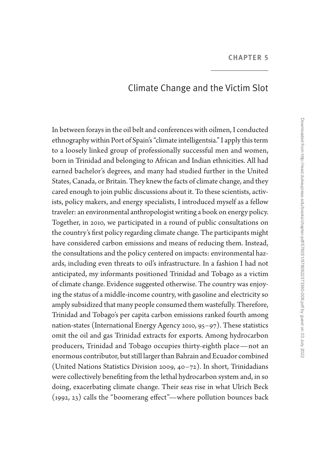## [Climate Change and the Victim Slot](#page--1-0)

In between forays in the oil belt and conferences with oilmen, I conducted ethnography within Port of Spain's "climate intelligentsia." I apply this term to a loosely linked group of professionally successful men and women, born in Trinidad and belonging to African and Indian ethnicities. All had earned bachelor's degrees, and many had studied further in the United States, Canada, or Britain. They knew the facts of climate change, and they cared enough to join public discussions about it. To these scientists, activists, policy makers, and energy specialists, I introduced myself as a fellow traveler: an environmental anthropologist writing a book on energy policy. Together, in 2010, we participated in a round of public consultations on the country's first policy regarding climate change. The participants might have considered carbon emissions and means of reducing them. Instead, the consultations and the policy centered on impacts: environmental hazards, including even threats to oil's infrastructure. In a fashion I had not anticipated, my informants positioned Trinidad and Tobago as a victim of climate change. Evidence suggested otherwise. The country was enjoying the status of a middle-income country, with gasoline and electricity so amply subsidized that many people consumed them wastefully. Therefore, Trinidad and Tobago's per capita carbon emissions ranked fourth among nation-states (International Energy Agency 2010, 95–97). These statistics omit the oil and gas Trinidad extracts for exports. Among hydrocarbon producers, Trinidad and Tobago occupies thirty-eighth place—not an enormous contributor, but still larger than Bahrain and Ecuador combined (United Nations Statistics Division 2009, 40–72). In short, Trinidadians were collectively benefiting from the lethal hydrocarbon system and, in so doing, exacerbating climate change. Their seas rise in what Ulrich Beck (1992, 23) calls the "boomerang effect"—where pollution bounces back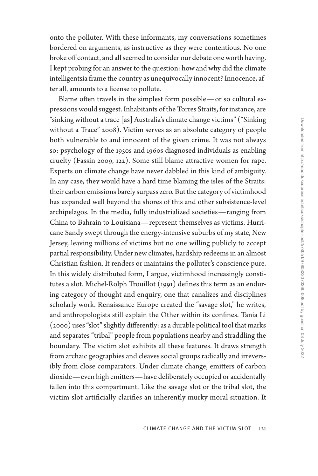onto the polluter. With these informants, my conversations sometimes bordered on arguments, as instructive as they were contentious. No one broke off contact, and all seemed to consider our debate one worth having. I kept probing for an answer to the question: how and why did the climate intelligentsia frame the country as unequivocally innocent? Innocence, after all, amounts to a license to pollute.

Blame often travels in the simplest form possible—or so cultural expressions would suggest. Inhabitants of the Torres Straits, for instance, are "sinking without a trace [as] Australia's climate change victims" ("Sinking without a Trace" 2008). Victim serves as an absolute category of people both vulnerable to and innocent of the given crime. It was not always so: psychology of the 1950s and 1960s diagnosed individuals as enabling cruelty (Fassin 2009, 122). Some still blame attractive women for rape. Experts on climate change have never dabbled in this kind of ambiguity. In any case, they would have a hard time blaming the isles of the Straits: their carbon emissions barely surpass zero. But the category of victimhood has expanded well beyond the shores of this and other subsistence-level archipelagos. In the media, fully industrialized societies—ranging from China to Bahrain to Louisiana—represent themselves as victims. Hurricane Sandy swept through the energy-intensive suburbs of my state, New Jersey, leaving millions of victims but no one willing publicly to accept partial responsibility. Under new climates, hardship redeems in an almost Christian fashion. It renders or maintains the polluter's conscience pure. In this widely distributed form, I argue, victimhood increasingly constitutes a slot. Michel-Rolph Trouillot (1991) defines this term as an enduring category of thought and enquiry, one that canalizes and disciplines scholarly work. Renaissance Europe created the "savage slot," he writes, and anthropologists still explain the Other within its confines. Tania Li (2000) uses "slot" slightly differently: as a durable political tool that marks and separates "tribal" people from populations nearby and straddling the boundary. The victim slot exhibits all these features. It draws strength from archaic geographies and cleaves social groups radically and irreversibly from close comparators. Under climate change, emitters of carbon dioxide—even high emitters—have deliberately occupied or accidentally fallen into this compartment. Like the savage slot or the tribal slot, the victim slot artificially clarifies an inherently murky moral situation. It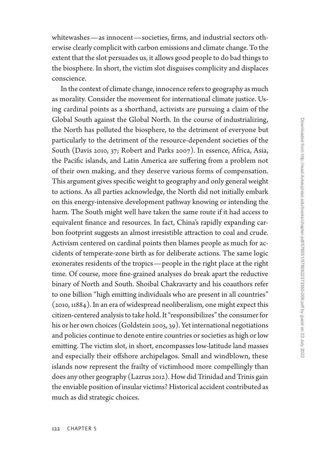whitewashes—as innocent—societies, firms, and industrial sectors otherwise clearly complicit with carbon emissions and climate change. To the extent that the slot persuades us, it allows good people to do bad things to the biosphere. In short, the victim slot disguises complicity and displaces conscience.

In the context of climate change, innocence refers to geography as much as morality. Consider the movement for international climate justice. Using cardinal points as a shorthand, activists are pursuing a claim of the Global South against the Global North. In the course of industrializing, the North has polluted the biosphere, to the detriment of everyone but particularly to the detriment of the resource-dependent societies of the South (Davis 2010, 37; Robert and Parks 2007). In essence, Africa, Asia, the Pacific islands, and Latin America are suffering from a problem not of their own making, and they deserve various forms of compensation. This argument gives specific weight to geography and only general weight to actions. As all parties acknowledge, the North did not initially embark on this energy-intensive development pathway knowing or intending the harm. The South might well have taken the same route if it had access to equivalent finance and resources. In fact, China's rapidly expanding carbon footprint suggests an almost irresistible attraction to coal and crude. Activism centered on cardinal points then blames people as much for accidents of temperate-zone birth as for deliberate actions. The same logic exonerates residents of the tropics—people in the right place at the right time. Of course, more fine-grained analyses do break apart the reductive binary of North and South. Shoibal Chakravarty and his coauthors refer to one billion "high emitting individuals who are present in all countries" (2010, 11884). In an era of widespread neoliberalism, one might expect this citizen-centered analysis to take hold. It "responsibilizes" the consumer for his or her own choices (Goldstein 2005, 39). Yet international negotiations and policies continue to denote entire countries or societies as high or low emitting. The victim slot, in short, encompasses low-latitude land masses and especially their offshore archipelagos. Small and windblown, these islands now represent the frailty of victimhood more compellingly than does any other geography (Lazrus 2012). How did Trinidad and Trinis gain the enviable position of insular victims? Historical accident contributed as much as did strategic choices.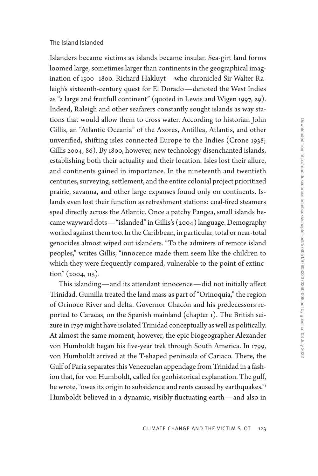Islanders became victims as islands became insular. Sea-girt land forms loomed large, sometimes larger than continents in the geographical imagination of 1500–1800. Richard Hakluyt—who chronicled Sir Walter Raleigh's sixteenth-century quest for El Dorado—denoted the West Indies as "a large and fruitfull continent" (quoted in Lewis and Wigen 1997, 29). Indeed, Raleigh and other seafarers constantly sought islands as way stations that would allow them to cross water. According to historian John Gillis, an "Atlantic Oceania" of the Azores, Antillea, Atlantis, and other unverified, shifting isles connected Europe to the Indies (Crone 1938; Gillis 2004, 86). By 1800, however, new technology disenchanted islands, establishing both their actuality and their location. Isles lost their allure, and continents gained in importance. In the nineteenth and twentieth centuries, surveying, settlement, and the entire colonial project prioritized prairie, savanna, and other large expanses found only on continents. Islands even lost their function as refreshment stations: coal-fired steamers sped directly across the Atlantic. Once a patchy Pangea, small islands became wayward dots—"islanded" in Gillis's (2004) language. Demography worked against them too. In the Caribbean, in particular, total or near-total genocides almost wiped out islanders. "To the admirers of remote island peoples," writes Gillis, "innocence made them seem like the children to which they were frequently compared, vulnerable to the point of extinction" (2004, 115).

This islanding—and its attendant innocence—did not initially affect Trinidad. Gumilla treated the land mass as part of "Orinoquia," the region of Orinoco River and delta. Governor Chacón and his predecessors reported to Caracas, on the Spanish mainland (chapter 1). The British seizure in 1797 might have isolated Trinidad conceptually as well as politically. At almost the same moment, however, the epic biogeographer Alexander von Humboldt began his five-year trek through South America. In 1799, von Humboldt arrived at the T-shaped peninsula of Cariaco. There, the Gulf of Paria separates this Venezuelan appendage from Trinidad in a fashion that, for von Humboldt, called for geohistorical explanation. The gulf, he wrote, "owes its origin to subsidence and rents caused by earthquakes."<sup>[1](#page--1-0)</sup> Humboldt believed in a dynamic, visibly fluctuating earth—and also in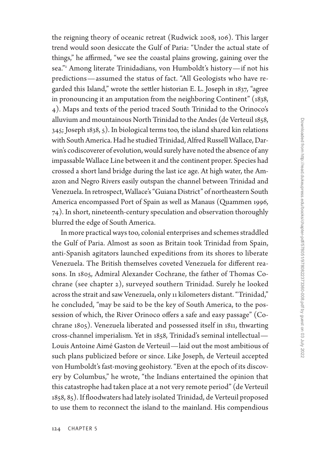the reigning theory of oceanic retreat (Rudwick 2008, 106). This larger trend would soon desiccate the Gulf of Paria: "Under the actual state of things," he affirmed, "we see the coastal plains growing, gaining over the sea.["2](#page--1-0) Among literate Trinidadians, von Humboldt's history—if not his predictions—assumed the status of fact. "All Geologists who have regarded this Island," wrote the settler historian E. L. Joseph in 1837, "agree in pronouncing it an amputation from the neighboring Continent" (1838, 4). Maps and texts of the period traced South Trinidad to the Orinoco's alluvium and mountainous North Trinidad to the Andes (de Verteuil 1858, 345; Joseph 1838, 5). In biological terms too, the island shared kin relations with South America. Had he studied Trinidad, Alfred Russell Wallace, Darwin's codiscoverer of evolution, would surely have noted the absence of any impassable Wallace Line between it and the continent proper. Species had crossed a short land bridge during the last ice age. At high water, the Amazon and Negro Rivers easily outspan the channel between Trinidad and Venezuela. In retrospect, Wallace's "Guiana District" of northeastern South America encompassed Port of Spain as well as Manaus (Quammen 1996, 74). In short, nineteenth-century speculation and observation thoroughly blurred the edge of South America.

In more practical ways too, colonial enterprises and schemes straddled the Gulf of Paria. Almost as soon as Britain took Trinidad from Spain, anti-Spanish agitators launched expeditions from its shores to liberate Venezuela. The British themselves coveted Venezuela for different reasons. In 1805, Admiral Alexander Cochrane, the father of Thomas Cochrane (see chapter 2), surveyed southern Trinidad. Surely he looked across the strait and saw Venezuela, only 11 kilometers distant. "Trinidad," he concluded, "may be said to be the key of South America, to the possession of which, the River Orinoco offers a safe and easy passage" (Cochrane 1805). Venezuela liberated and possessed itself in 1811, thwarting cross-channel imperialism. Yet in 1858, Trinidad's seminal intellectual— Louis Antoine Aimé Gaston de Verteuil—laid out the most ambitious of such plans publicized before or since. Like Joseph, de Verteuil accepted von Humboldt's fast-moving geohistory. "Even at the epoch of its discovery by Columbus," he wrote, "the Indians entertained the opinion that this catastrophe had taken place at a not very remote period" (de Verteuil 1858, 85). If floodwaters had lately isolated Trinidad, de Verteuil proposed to use them to reconnect the island to the mainland. His compendious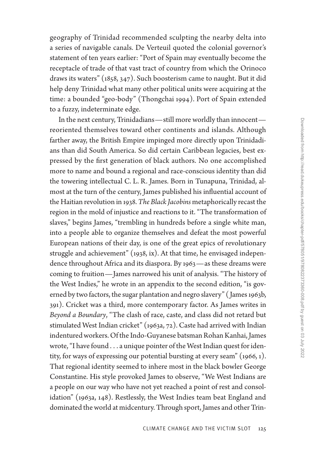geography of Trinidad recommended sculpting the nearby delta into a series of navigable canals. De Verteuil quoted the colonial governor's statement of ten years earlier: "Port of Spain may eventually become the receptacle of trade of that vast tract of country from which the Orinoco draws its waters" (1858, 347). Such boosterism came to naught. But it did help deny Trinidad what many other political units were acquiring at the time: a bounded "geo-body" (Thongchai 1994). Port of Spain extended to a fuzzy, indeterminate edge.

In the next century, Trinidadians—still more worldly than innocent reoriented themselves toward other continents and islands. Although farther away, the British Empire impinged more directly upon Trinidadians than did South America. So did certain Caribbean legacies, best expressed by the first generation of black authors. No one accomplished more to name and bound a regional and race-conscious identity than did the towering intellectual C. L. R. James. Born in Tunapuna, Trinidad, almost at the turn of the century, James published his influential account of the Haitian revolution in 1938. *The Black Jacobins* metaphorically recast the region in the mold of injustice and reactions to it. "The transformation of slaves," begins James, "trembling in hundreds before a single white man, into a people able to organize themselves and defeat the most powerful European nations of their day, is one of the great epics of revolutionary struggle and achievement" (1938, ix). At that time, he envisaged independence throughout Africa and its diaspora. By 1963—as these dreams were coming to fruition—James narrowed his unit of analysis. "The history of the West Indies," he wrote in an appendix to the second edition, "is governed by two factors, the sugar plantation and negro slavery" ( James 1963b, 391). Cricket was a third, more contemporary factor. As James writes in *Beyond a Boundary*, "The clash of race, caste, and class did not retard but stimulated West Indian cricket" (1963a, 72). Caste had arrived with Indian indentured workers. Of the Indo-Guyanese batsman Rohan Kanhai, James wrote, "I have found . . . a unique pointer of the West Indian quest for identity, for ways of expressing our potential bursting at every seam" (1966, 1). That regional identity seemed to inhere most in the black bowler George Constantine. His style provoked James to observe, "We West Indians are a people on our way who have not yet reached a point of rest and consolidation" (1963a, 148). Restlessly, the West Indies team beat England and dominated the world at midcentury. Through sport, James and other Trin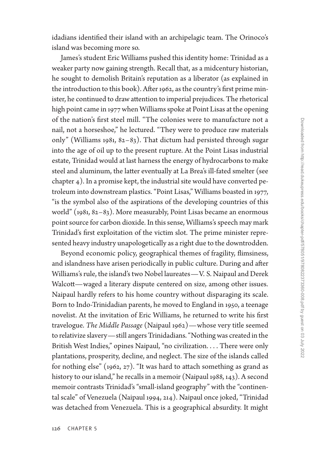idadians identified their island with an archipelagic team. The Orinoco's island was becoming more so.

James's student Eric Williams pushed this identity home: Trinidad as a weaker party now gaining strength. Recall that, as a midcentury historian, he sought to demolish Britain's reputation as a liberator (as explained in the introduction to this book). After 1962, as the country's first prime minister, he continued to draw attention to imperial prejudices. The rhetorical high point came in 1977 when Williams spoke at Point Lisas at the opening of the nation's first steel mill. "The colonies were to manufacture not a nail, not a horseshoe," he lectured. "They were to produce raw materials only" (Williams 1981, 82–83). That dictum had persisted through sugar into the age of oil up to the present rupture. At the Point Lisas industrial estate, Trinidad would at last harness the energy of hydrocarbons to make steel and aluminum, the latter eventually at La Brea's ill-fated smelter (see chapter 4). In a promise kept, the industrial site would have converted petroleum into downstream plastics. "Point Lisas," Williams boasted in 1977, "is the symbol also of the aspirations of the developing countries of this world" (1981, 82–83). More measurably, Point Lisas became an enormous point source for carbon dioxide. In this sense, Williams's speech may mark Trinidad's first exploitation of the victim slot. The prime minister represented heavy industry unapologetically as a right due to the downtrodden.

Beyond economic policy, geographical themes of fragility, flimsiness, and islandness have arisen periodically in public culture. During and after Williams's rule, the island's two Nobel laureates—V. S. Naipaul and Derek Walcott—waged a literary dispute centered on size, among other issues. Naipaul hardly refers to his home country without disparaging its scale. Born to Indo-Trinidadian parents, he moved to England in 1950, a teenage novelist. At the invitation of Eric Williams, he returned to write his first travelogue. *The Middle Passage* (Naipaul 1962)—whose very title seemed to relativize slavery—still angers Trinidadians. "Nothing was created in the British West Indies," opines Naipaul, "no civilization.... There were only plantations, prosperity, decline, and neglect. The size of the islands called for nothing else" (1962, 27). "It was hard to attach something as grand as history to our island," he recalls in a memoir (Naipaul 1988, 143). A second memoir contrasts Trinidad's "small-island geography" with the "continental scale" of Venezuela (Naipaul 1994, 214). Naipaul once joked, "Trinidad was detached from Venezuela. This is a geographical absurdity. It might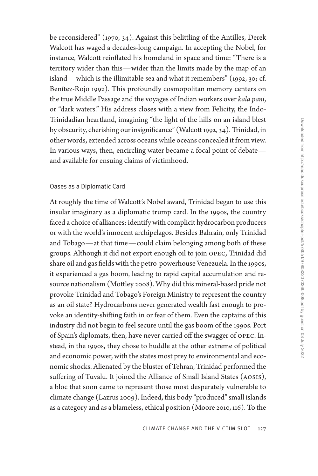be reconsidered" (1970, 34). Against this belittling of the Antilles, Derek Walcott has waged a decades-long campaign. In accepting the Nobel, for instance, Walcott reinflated his homeland in space and time: "There is a territory wider than this—wider than the limits made by the map of an island—which is the illimitable sea and what it remembers" (1992, 30; cf. Benítez-Rojo 1992). This profoundly cosmopolitan memory centers on the true Middle Passage and the voyages of Indian workers over *kala pani*, or "dark waters." His address closes with a view from Felicity, the Indo-Trinidadian heartland, imagining "the light of the hills on an island blest by obscurity, cherishing our insignificance" (Walcott 1992, 34). Trinidad, in other words, extended across oceans while oceans concealed it from view. In various ways, then, encircling water became a focal point of debate and available for ensuing claims of victimhood.

## Oases as a Diplomatic Card

At roughly the time of Walcott's Nobel award, Trinidad began to use this insular imaginary as a diplomatic trump card. In the 1990s, the country faced a choice of alliances: identify with complicit hydrocarbon producers or with the world's innocent archipelagos. Besides Bahrain, only Trinidad and Tobago—at that time—could claim belonging among both of these groups. Although it did not export enough oil to join opec, Trinidad did share oil and gas fields with the petro-powerhouse Venezuela. In the 1990s, it experienced a gas boom, leading to rapid capital accumulation and resource nationalism (Mottley 2008). Why did this mineral-based pride not provoke Trinidad and Tobago's Foreign Ministry to represent the country as an oil state? Hydrocarbons never generated wealth fast enough to provoke an identity-shifting faith in or fear of them. Even the captains of this industry did not begin to feel secure until the gas boom of the 1990s. Port of Spain's diplomats, then, have never carried off the swagger of opec. Instead, in the 1990s, they chose to huddle at the other extreme of political and economic power, with the states most prey to environmental and economic shocks. Alienated by the bluster of Tehran, Trinidad performed the suffering of Tuvalu. It joined the Alliance of Small Island States (AOSIS), a bloc that soon came to represent those most desperately vulnerable to climate change (Lazrus 2009). Indeed, this body "produced" small islands as a category and as a blameless, ethical position (Moore 2010, 116). To the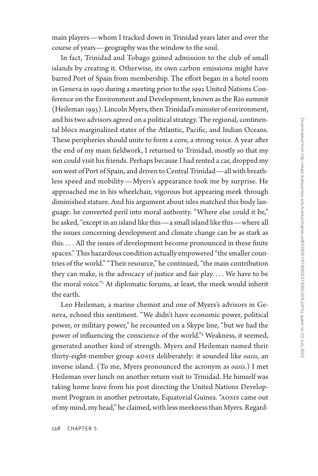main players—whom I tracked down in Trinidad years later and over the course of years—geography was the window to the soul.

In fact, Trinidad and Tobago gained admission to the club of small islands by creating it. Otherwise, its own carbon emissions might have barred Port of Spain from membership. The effort began in a hotel room in Geneva in 1990 during a meeting prior to the 1992 United Nations Conference on the Environment and Development, known as the Rio summit (Heileman 1993). Lincoln Myers, then Trinidad's minister of environment, and his two advisors agreed on a political strategy. The regional, continental blocs marginalized states of the Atlantic, Pacific, and Indian Oceans. These peripheries should unite to form a core, a strong voice. A year after the end of my main fieldwork, I returned to Trinidad, mostly so that my son could visit his friends. Perhaps because I had rented a car, dropped my son west of Port of Spain, and driven to Central Trinidad—all with breathless speed and mobility—Myers's appearance took me by surprise. He approached me in his wheelchair, vigorous but appearing meek through diminished stature. And his argument about isles matched this body language: he converted peril into moral authority. "Where else could it be," he asked, "except in an island like this—a small island like this—where all the issues concerning development and climate change can be as stark as this. . . . All the issues of development become pronounced in these finite spaces." This hazardous condition actually empowered "the smaller countries of the world." "Their resource," he continued, "the main contribution they can make, is the advocacy of justice and fair play. . . . We have to be the moral voice.["3](#page--1-0) At diplomatic forums, at least, the meek would inherit the earth.

Leo Heileman, a marine chemist and one of Myers's advisors in Geneva, echoed this sentiment. "We didn't have economic power, political power, or military power," he recounted on a Skype line, "but we had the power of influencing the conscience of the world.["4](#page--1-0) Weakness, it seemed, generated another kind of strength. Myers and Heileman named their thirty-eight-member group aosis deliberately: it sounded like *oasis*, an inverse island. (To me, Myers pronounced the acronym as *oasis*.) I met Heileman over lunch on another return visit to Trinidad. He himself was taking home leave from his post directing the United Nations Development Program in another petrostate, Equatorial Guinea. "aosis came out of my mind, my head," he claimed, with less meekness than Myers. Regard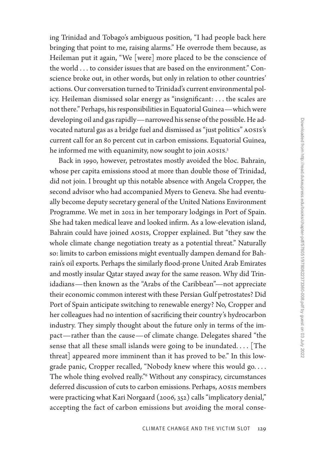ing Trinidad and Tobago's ambiguous position, "I had people back here bringing that point to me, raising alarms." He overrode them because, as Heileman put it again, "We [were] more placed to be the conscience of the world . . . to consider issues that are based on the environment." Conscience broke out, in other words, but only in relation to other countries' actions. Our conversation turned to Trinidad's current environmental policy. Heileman dismissed solar energy as "insignificant: . . . the scales are not there." Perhaps, his responsibilities in Equatorial Guinea—which were developing oil and gas rapidly—narrowed his sense of the possible. He advocated natural gas as a bridge fuel and dismissed as "just politics" aosis's current call for an 80 percent cut in carbon emissions. Equatorial Guinea, he informed me with equanimity, now sought to join aosis. [5](#page--1-0)

Back in 1990, however, petrostates mostly avoided the bloc. Bahrain, whose per capita emissions stood at more than double those of Trinidad, did not join. I brought up this notable absence with Angela Cropper, the second advisor who had accompanied Myers to Geneva. She had eventually become deputy secretary general of the United Nations Environment Programme. We met in 2012 in her temporary lodgings in Port of Spain. She had taken medical leave and looked infirm. As a low-elevation island, Bahrain could have joined aosis, Cropper explained. But "they saw the whole climate change negotiation treaty as a potential threat." Naturally so: limits to carbon emissions might eventually dampen demand for Bahrain's oil exports. Perhaps the similarly flood-prone United Arab Emirates and mostly insular Qatar stayed away for the same reason. Why did Trinidadians—then known as the "Arabs of the Caribbean"—not appreciate their economic common interest with these Persian Gulf petrostates? Did Port of Spain anticipate switching to renewable energy? No, Cropper and her colleagues had no intention of sacrificing their country's hydrocarbon industry. They simply thought about the future only in terms of the impact—rather than the cause—of climate change. Delegates shared "the sense that all these small islands were going to be inundated. . . . [The threat] appeared more imminent than it has proved to be." In this lowgrade panic, Cropper recalled, "Nobody knew where this would go. . . . The whole thing evolved really.["6](#page--1-0) Without any conspiracy, circumstances deferred discussion of cuts to carbon emissions. Perhaps, aosis members were practicing what Kari Norgaard (2006, 352) calls "implicatory denial," accepting the fact of carbon emissions but avoiding the moral conse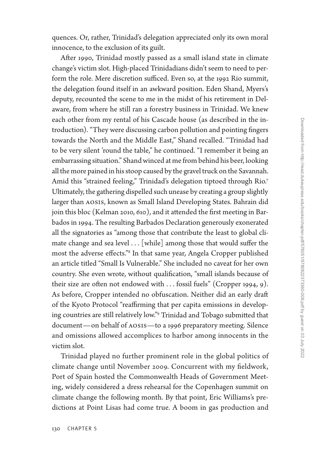quences. Or, rather, Trinidad's delegation appreciated only its own moral innocence, to the exclusion of its guilt.

After 1990, Trinidad mostly passed as a small island state in climate change's victim slot. High-placed Trinidadians didn't seem to need to perform the role. Mere discretion sufficed. Even so, at the 1992 Rio summit, the delegation found itself in an awkward position. Eden Shand, Myers's deputy, recounted the scene to me in the midst of his retirement in Delaware, from where he still ran a forestry business in Trinidad. We knew each other from my rental of his Cascade house (as described in the introduction). "They were discussing carbon pollution and pointing fingers towards the North and the Middle East," Shand recalled. "Trinidad had to be very silent 'round the table," he continued. "I remember it being an embarrassing situation." Shand winced at me from behind his beer, looking all the more pained in his stoop caused by the gravel truck on the Savannah. Amid this "strained feeling," Trinidad's delegation tiptoed through Rio.<sup>7</sup> Ultimately, the gathering dispelled such unease by creating a group slightly larger than aosis, known as Small Island Developing States. Bahrain did join this bloc (Kelman 2010, 610), and it attended the first meeting in Barbados in 1994. The resulting Barbados Declaration generously exonerated all the signatories as "among those that contribute the least to global climate change and sea level . . . [while] among those that would suffer the most the adverse effects.["8](#page--1-0) In that same year, Angela Cropper published an article titled "Small Is Vulnerable." She included no caveat for her own country. She even wrote, without qualification, "small islands because of their size are often not endowed with . . . fossil fuels" (Cropper 1994, 9). As before, Cropper intended no obfuscation. Neither did an early draft of the Kyoto Protocol "reaffirming that per capita emissions in developing countries are still relatively low.["9](#page--1-0) Trinidad and Tobago submitted that document—on behalf of aosis—to a 1996 preparatory meeting. Silence and omissions allowed accomplices to harbor among innocents in the victim slot.

Trinidad played no further prominent role in the global politics of climate change until November 2009. Concurrent with my fieldwork, Port of Spain hosted the Commonwealth Heads of Government Meeting, widely considered a dress rehearsal for the Copenhagen summit on climate change the following month. By that point, Eric Williams's predictions at Point Lisas had come true. A boom in gas production and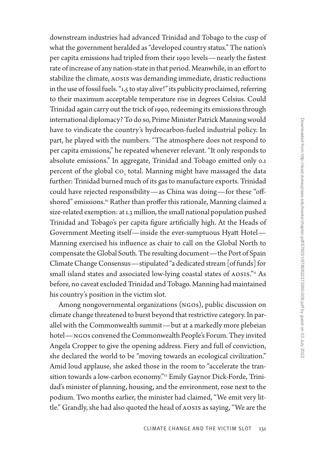downstream industries had advanced Trinidad and Tobago to the cusp of what the government heralded as "developed country status." The nation's per capita emissions had tripled from their 1990 levels—nearly the fastest rate of increase of any nation-state in that period. Meanwhile, in an effort to stabilize the climate, aosis was demanding immediate, drastic reductions in the use of fossil fuels. "1.5 to stay alive!" its publicity proclaimed, referring to their maximum acceptable temperature rise in degrees Celsius. Could Trinidad again carry out the trick of 1990, redeeming its emissions through international diplomacy? To do so, Prime Minister Patrick Manning would have to vindicate the country's hydrocarbon-fueled industrial policy. In part, he played with the numbers. "The atmosphere does not respond to per capita emissions," he repeated whenever relevant. "It only responds to absolute emissions." In aggregate, Trinidad and Tobago emitted only 0.1 percent of the global CO<sub>2</sub> total. Manning might have massaged the data further: Trinidad burned much of its gas to manufacture exports. Trinidad could have rejected responsibility—as China was doing—for these "offshored" emissions.<sup>10</sup> Rather than proffer this rationale, Manning claimed a size-related exemption: at 1.3 million, the small national population pushed Trinidad and Tobago's per capita figure artificially high. At the Heads of Government Meeting itself—inside the ever-sumptuous Hyatt Hotel— Manning exercised his influence as chair to call on the Global North to compensate the Global South. The resulting document—the Port of Spain Climate Change Consensus—stipulated "a dedicated stream [of funds] for small island states and associated low-lying coastal states of AOSIS."<sup>11</sup> As before, no caveat excluded Trinidad and Tobago. Manning had maintained his country's position in the victim slot.

Among nongovernmental organizations (ngos), public discussion on climate change threatened to burst beyond that restrictive category. In parallel with the Commonwealth summit—but at a markedly more plebeian hotel—ngos convened the Commonwealth People's Forum. They invited Angela Cropper to give the opening address. Fiery and full of conviction, she declared the world to be "moving towards an ecological civilization." Amid loud applause, she asked those in the room to "accelerate the tran-sition towards a low-carbon economy."<sup>[12](#page--1-0)</sup> Emily Gaynor Dick-Forde, Trinidad's minister of planning, housing, and the environment, rose next to the podium. Two months earlier, the minister had claimed, "We emit very little." Grandly, she had also quoted the head of aosis as saying, "We are the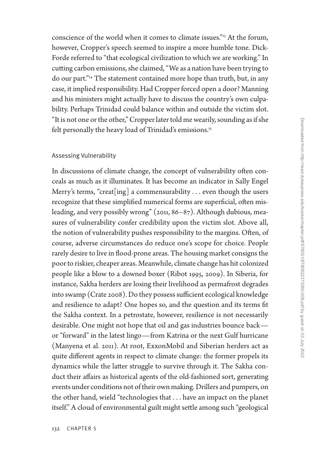conscience of the world when it comes to climate issues.["13](#page--1-0) At the forum, however, Cropper's speech seemed to inspire a more humble tone. Dick-Forde referred to "that ecological civilization to which we are working." In cutting carbon emissions, she claimed, "We as a nation have been trying to do our part."[14](#page--1-0) The statement contained more hope than truth, but, in any case, it implied responsibility. Had Cropper forced open a door? Manning and his ministers might actually have to discuss the country's own culpability. Perhaps Trinidad could balance within and outside the victim slot. "It is not one or the other," Cropper later told me wearily, sounding as if she felt personally the heavy load of Trinidad's emissions.<sup>15</sup>

## Assessing Vulnerability

In discussions of climate change, the concept of vulnerability often conceals as much as it illuminates. It has become an indicator in Sally Engel Merry's terms, "creat [ing] a commensurability . . . even though the users recognize that these simplified numerical forms are superficial, often misleading, and very possibly wrong" (2011, 86–87). Although dubious, measures of vulnerability confer credibility upon the victim slot. Above all, the notion of vulnerability pushes responsibility to the margins. Often, of course, adverse circumstances do reduce one's scope for choice. People rarely desire to live in flood-prone areas. The housing market consigns the poor to riskier, cheaper areas. Meanwhile, climate change has hit colonized people like a blow to a downed boxer (Ribot 1995, 2009). In Siberia, for instance, Sakha herders are losing their livelihood as permafrost degrades into swamp (Crate 2008). Do they possess sufficient ecological knowledge and resilience to adapt? One hopes so, and the question and its terms fit the Sakha context. In a petrostate, however, resilience is not necessarily desirable. One might not hope that oil and gas industries bounce back or "forward" in the latest lingo—from Katrina or the next Gulf hurricane (Manyena et al. 2011). At root, ExxonMobil and Siberian herders act as quite different agents in respect to climate change: the former propels its dynamics while the latter struggle to survive through it. The Sakha conduct their affairs as historical agents of the old-fashioned sort, generating events under conditions not of their own making. Drillers and pumpers, on the other hand, wield "technologies that . . . have an impact on the planet itself." A cloud of environmental guilt might settle among such "geological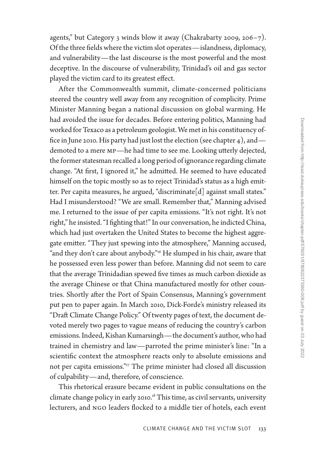agents," but Category 3 winds blow it away (Chakrabarty 2009, 206-7). Of the three fields where the victim slot operates—islandness, diplomacy, and vulnerability—the last discourse is the most powerful and the most deceptive. In the discourse of vulnerability, Trinidad's oil and gas sector played the victim card to its greatest effect.

After the Commonwealth summit, climate-concerned politicians steered the country well away from any recognition of complicity. Prime Minister Manning began a national discussion on global warming. He had avoided the issue for decades. Before entering politics, Manning had worked for Texaco as a petroleum geologist. We met in his constituency office in June 2010. His party had just lost the election (see chapter 4), and demoted to a mere mp—he had time to see me. Looking utterly dejected, the former statesman recalled a long period of ignorance regarding climate change. "At first, I ignored it," he admitted. He seemed to have educated himself on the topic mostly so as to reject Trinidad's status as a high emitter. Per capita measures, he argued, "discriminate[d] against small states." Had I misunderstood? "We are small. Remember that," Manning advised me. I returned to the issue of per capita emissions. "It's not right. It's not right," he insisted. "I fighting that!" In our conversation, he indicted China, which had just overtaken the United States to become the highest aggregate emitter. "They just spewing into the atmosphere," Manning accused, "and they don't care about anybody."<sup>16</sup> He slumped in his chair, aware that he possessed even less power than before. Manning did not seem to care that the average Trinidadian spewed five times as much carbon dioxide as the average Chinese or that China manufactured mostly for other countries. Shortly after the Port of Spain Consensus, Manning's government put pen to paper again. In March 2010, Dick-Forde's ministry released its "Draft Climate Change Policy." Of twenty pages of text, the document devoted merely two pages to vague means of reducing the country's carbon emissions. Indeed, Kishan Kumarsingh—the document's author, who had trained in chemistry and law—parroted the prime minister's line: "In a scientific context the atmosphere reacts only to absolute emissions and not per capita emissions."<sup>17</sup> The prime minister had closed all discussion of culpability—and, therefore, of conscience.

This rhetorical erasure became evident in public consultations on the climate change policy in early 2010[.18](#page--1-0) This time, as civil servants, university lecturers, and ngo leaders flocked to a middle tier of hotels, each event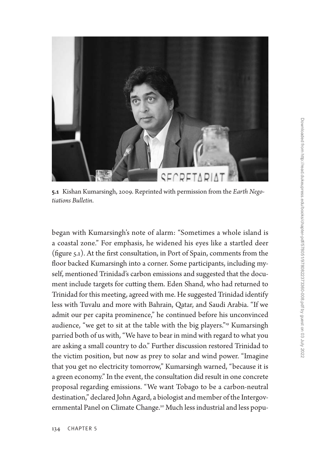

**5.1** Kishan Kumarsingh, 2009. Reprinted with permission from the *Earth Negotiations Bulletin*.

began with Kumarsingh's note of alarm: "Sometimes a whole island is a coastal zone." For emphasis, he widened his eyes like a startled deer (figure 5.1). At the first consultation, in Port of Spain, comments from the floor backed Kumarsingh into a corner. Some participants, including myself, mentioned Trinidad's carbon emissions and suggested that the document include targets for cutting them. Eden Shand, who had returned to Trinidad for this meeting, agreed with me. He suggested Trinidad identify less with Tuvalu and more with Bahrain, Qatar, and Saudi Arabia. "If we admit our per capita prominence," he continued before his unconvinced audience, "we get to sit at the table with the big players.["19](#page--1-0) Kumarsingh parried both of us with, "We have to bear in mind with regard to what you are asking a small country to do." Further discussion restored Trinidad to the victim position, but now as prey to solar and wind power. "Imagine that you get no electricity tomorrow," Kumarsingh warned, "because it is a green economy." In the event, the consultation did result in one concrete proposal regarding emissions. "We want Tobago to be a carbon-neutral destination," declared John Agard, a biologist and member of the Intergovernmental Panel on Climate Change.<sup>20</sup> Much less industrial and less popu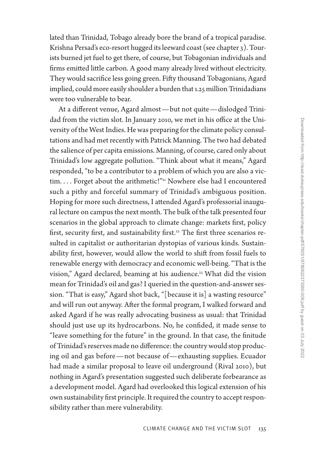lated than Trinidad, Tobago already bore the brand of a tropical paradise. Krishna Persad's eco-resort hugged its leeward coast (see chapter 3). Tourists burned jet fuel to get there, of course, but Tobagonian individuals and firms emitted little carbon. A good many already lived without electricity. They would sacrifice less going green. Fifty thousand Tobagonians, Agard implied, could more easily shoulder a burden that 1.25 million Trinidadians were too vulnerable to bear.

At a different venue, Agard almost—but not quite—dislodged Trinidad from the victim slot. In January 2010, we met in his office at the University of the West Indies. He was preparing for the climate policy consultations and had met recently with Patrick Manning. The two had debated the salience of per capita emissions. Manning, of course, cared only about Trinidad's low aggregate pollution. "Think about what it means," Agard responded, "to be a contributor to a problem of which you are also a vic-tim.... Forget about the arithmetic!"<sup>[21](#page--1-0)</sup> Nowhere else had I encountered such a pithy and forceful summary of Trinidad's ambiguous position. Hoping for more such directness, I attended Agard's professorial inaugural lecture on campus the next month. The bulk of the talk presented four scenarios in the global approach to climate change: markets first, policy first, security first, and sustainability first.<sup>[22](#page--1-0)</sup> The first three scenarios resulted in capitalist or authoritarian dystopias of various kinds. Sustainability first, however, would allow the world to shift from fossil fuels to renewable energy with democracy and economic well-being. "That is the vision," Agard declared, beaming at his audience.<sup>23</sup> What did the vision mean for Trinidad's oil and gas? I queried in the question-and-answer session. "That is easy," Agard shot back, "[because it is] a wasting resource" and will run out anyway. After the formal program, I walked forward and asked Agard if he was really advocating business as usual: that Trinidad should just use up its hydrocarbons. No, he confided, it made sense to "leave something for the future" in the ground. In that case, the finitude of Trinidad's reserves made no difference: the country would stop producing oil and gas before—not because of—exhausting supplies. Ecuador had made a similar proposal to leave oil underground (Rival 2010), but nothing in Agard's presentation suggested such deliberate forbearance as a development model. Agard had overlooked this logical extension of his own sustainability first principle. It required the country to accept responsibility rather than mere vulnerability.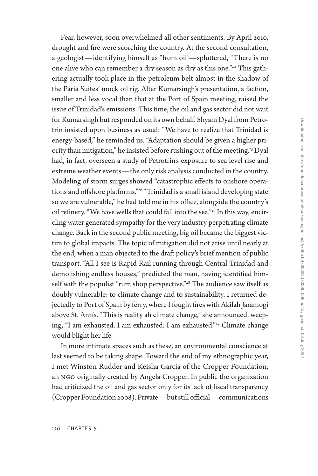Fear, however, soon overwhelmed all other sentiments. By April 2010, drought and fire were scorching the country. At the second consultation, a geologist—identifying himself as "from oil"—spluttered, "There is no one alive who can remember a dry season as dry as this one."<sup>24</sup> This gathering actually took place in the petroleum belt almost in the shadow of the Paria Suites' mock oil rig. After Kumarsingh's presentation, a faction, smaller and less vocal than that at the Port of Spain meeting, raised the issue of Trinidad's emissions. This time, the oil and gas sector did not wait for Kumarsingh but responded on its own behalf. Shyam Dyal from Petrotrin insisted upon business as usual: "We have to realize that Trinidad is energy-based," he reminded us. "Adaptation should be given a higher priority than mitigation," he insisted before rushing out of the meeting.<sup>25</sup> Dyal had, in fact, overseen a study of Petrotrin's exposure to sea level rise and extreme weather events—the only risk analysis conducted in the country. Modeling of storm surges showed "catastrophic effects to onshore operations and offshore platforms.["26](#page--1-0) "Trinidad is a small island developing state so we are vulnerable," he had told me in his office, alongside the country's oil refinery. "We have wells that could fall into the sea."<sup>27</sup> In this way, encircling water generated sympathy for the very industry perpetrating climate change. Back in the second public meeting, big oil became the biggest victim to global impacts. The topic of mitigation did not arise until nearly at the end, when a man objected to the draft policy's brief mention of public transport. "All I see is Rapid Rail running through Central Trinidad and demolishing endless houses," predicted the man, having identified him-self with the populist "rum shop perspective."<sup>[28](#page--1-0)</sup> The audience saw itself as doubly vulnerable: to climate change and to sustainability. I returned dejectedly to Port of Spain by ferry, where I fought fires with Akilah Jaramogi above St. Ann's. "This is reality ah climate change," she announced, weeping, "I am exhausted. I am exhausted. I am exhausted."<sup>29</sup> Climate change would blight her life.

In more intimate spaces such as these, an environmental conscience at last seemed to be taking shape. Toward the end of my ethnographic year, I met Winston Rudder and Keisha Garcia of the Cropper Foundation, an ngo originally created by Angela Cropper. In public the organization had criticized the oil and gas sector only for its lack of fiscal transparency (Cropper Foundation 2008). Private—but still official—communications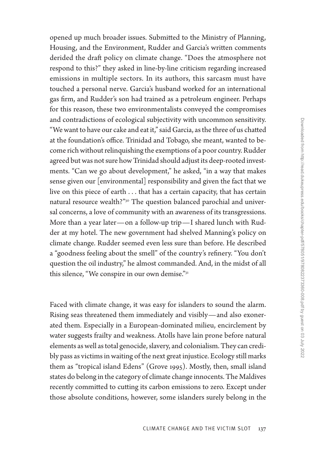opened up much broader issues. Submitted to the Ministry of Planning, Housing, and the Environment, Rudder and Garcia's written comments derided the draft policy on climate change. "Does the atmosphere not respond to this?" they asked in line-by-line criticism regarding increased emissions in multiple sectors. In its authors, this sarcasm must have touched a personal nerve. Garcia's husband worked for an international gas firm, and Rudder's son had trained as a petroleum engineer. Perhaps for this reason, these two environmentalists conveyed the compromises and contradictions of ecological subjectivity with uncommon sensitivity. "We want to have our cake and eat it," said Garcia, as the three of us chatted at the foundation's office. Trinidad and Tobago, she meant, wanted to become rich without relinquishing the exemptions of a poor country. Rudder agreed but was not sure how Trinidad should adjust its deep-rooted investments. "Can we go about development," he asked, "in a way that makes sense given our [environmental] responsibility and given the fact that we live on this piece of earth . . . that has a certain capacity, that has certain natural resource wealth?"<sup>30</sup> The question balanced parochial and universal concerns, a love of community with an awareness of its transgressions. More than a year later—on a follow-up trip—I shared lunch with Rudder at my hotel. The new government had shelved Manning's policy on climate change. Rudder seemed even less sure than before. He described a "goodness feeling about the smell" of the country's refinery. "You don't question the oil industry," he almost commanded. And, in the midst of all this silence, "We conspire in our own demise."[31](#page--1-0)

Faced with climate change, it was easy for islanders to sound the alarm. Rising seas threatened them immediately and visibly—and also exonerated them. Especially in a European-dominated milieu, encirclement by water suggests frailty and weakness. Atolls have lain prone before natural elements as well as total genocide, slavery, and colonialism. They can credibly pass as victims in waiting of the next great injustice. Ecology still marks them as "tropical island Edens" (Grove 1995). Mostly, then, small island states do belong in the category of climate change innocents. The Maldives recently committed to cutting its carbon emissions to zero. Except under those absolute conditions, however, some islanders surely belong in the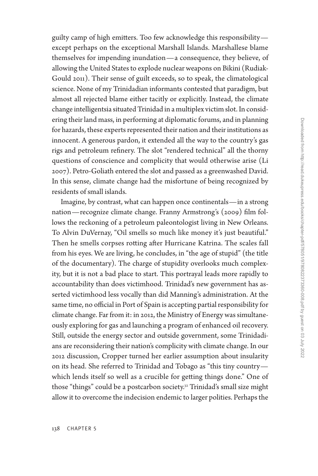guilty camp of high emitters. Too few acknowledge this responsibility except perhaps on the exceptional Marshall Islands. Marshallese blame themselves for impending inundation—a consequence, they believe, of allowing the United States to explode nuclear weapons on Bikini (Rudiak-Gould 2011). Their sense of guilt exceeds, so to speak, the climatological science. None of my Trinidadian informants contested that paradigm, but almost all rejected blame either tacitly or explicitly. Instead, the climate change intelligentsia situated Trinidad in a multiplex victim slot. In considering their land mass, in performing at diplomatic forums, and in planning for hazards, these experts represented their nation and their institutions as innocent. A generous pardon, it extended all the way to the country's gas rigs and petroleum refinery. The slot "rendered technical" all the thorny questions of conscience and complicity that would otherwise arise (Li 2007). Petro-Goliath entered the slot and passed as a greenwashed David. In this sense, climate change had the misfortune of being recognized by residents of small islands.

Imagine, by contrast, what can happen once continentals—in a strong nation—recognize climate change. Franny Armstrong's (2009) film follows the reckoning of a petroleum paleontologist living in New Orleans. To Alvin DuVernay, "Oil smells so much like money it's just beautiful." Then he smells corpses rotting after Hurricane Katrina. The scales fall from his eyes. We are living, he concludes, in "the age of stupid" (the title of the documentary). The charge of stupidity overlooks much complexity, but it is not a bad place to start. This portrayal leads more rapidly to accountability than does victimhood. Trinidad's new government has asserted victimhood less vocally than did Manning's administration. At the same time, no official in Port of Spain is accepting partial responsibility for climate change. Far from it: in 2012, the Ministry of Energy was simultaneously exploring for gas and launching a program of enhanced oil recovery. Still, outside the energy sector and outside government, some Trinidadians are reconsidering their nation's complicity with climate change. In our 2012 discussion, Cropper turned her earlier assumption about insularity on its head. She referred to Trinidad and Tobago as "this tiny country which lends itself so well as a crucible for getting things done." One of those "things" could be a postcarbon society.<sup>32</sup> Trinidad's small size might allow it to overcome the indecision endemic to larger polities. Perhaps the